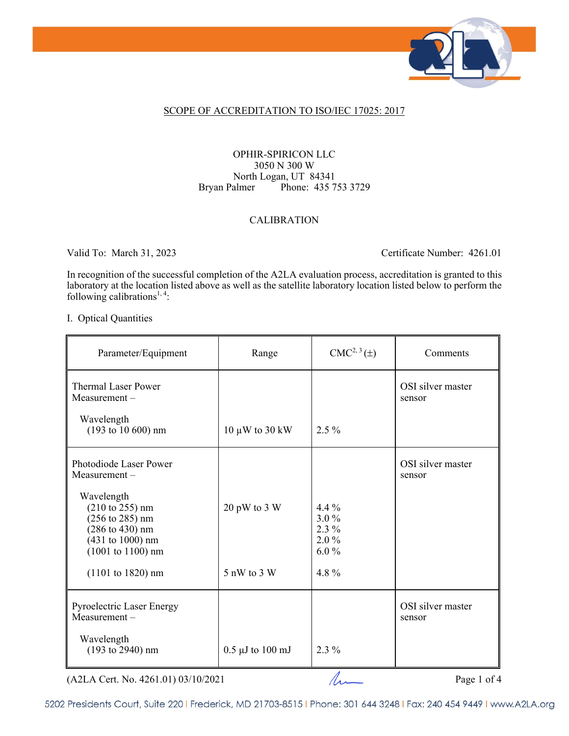

## SCOPE OF ACCREDITATION TO ISO/IEC 17025: 2017

## OPHIR-SPIRICON LLC 3050 N 300 W North Logan, UT 84341 Bryan Palmer Phone: 435 753 3729

## CALIBRATION

Valid To: March 31, 2023 Certificate Number: 4261.01

In recognition of the successful completion of the A2LA evaluation process, accreditation is granted to this laboratory at the location listed above as well as the satellite laboratory location listed below to perform the following calibrations<sup>1, 4</sup>:

#### I. Optical Quantities

| Parameter/Equipment                                                                                                                                                         | Range                           | $CMC2, 3(\pm)$                                      | Comments                    |
|-----------------------------------------------------------------------------------------------------------------------------------------------------------------------------|---------------------------------|-----------------------------------------------------|-----------------------------|
| <b>Thermal Laser Power</b><br>$Measurement -$                                                                                                                               |                                 |                                                     | OSI silver master<br>sensor |
| Wavelength<br>$(193 \text{ to } 10 \text{ } 600) \text{ nm}$                                                                                                                | 10 $\mu$ W to 30 kW             | $2.5\%$                                             |                             |
| Photodiode Laser Power<br>$Measurement -$                                                                                                                                   |                                 |                                                     | OSI silver master<br>sensor |
| Wavelength<br>$(210 \text{ to } 255) \text{ nm}$<br>$(256 \text{ to } 285) \text{ nm}$<br>$(286 \text{ to } 430) \text{ nm}$<br>$(431 to 1000)$ nm<br>$(1001$ to $1100)$ nm | 20 pW to 3 W                    | $4.4\%$<br>$3.0\%$<br>$2.3\%$<br>$2.0\%$<br>$6.0\%$ |                             |
| $(1101 to 1820)$ nm                                                                                                                                                         | 5 nW to 3 W                     | 4.8%                                                |                             |
| <b>Pyroelectric Laser Energy</b><br>Measurement-                                                                                                                            |                                 |                                                     | OSI silver master<br>sensor |
| Wavelength<br>$(193 \text{ to } 2940)$ nm                                                                                                                                   | $0.5 \mu J$ to $100 \text{ mJ}$ | $2.3\%$                                             |                             |

 $(A2LA$  Cert. No. 4261.01) 03/10/2021 Page 1 of 4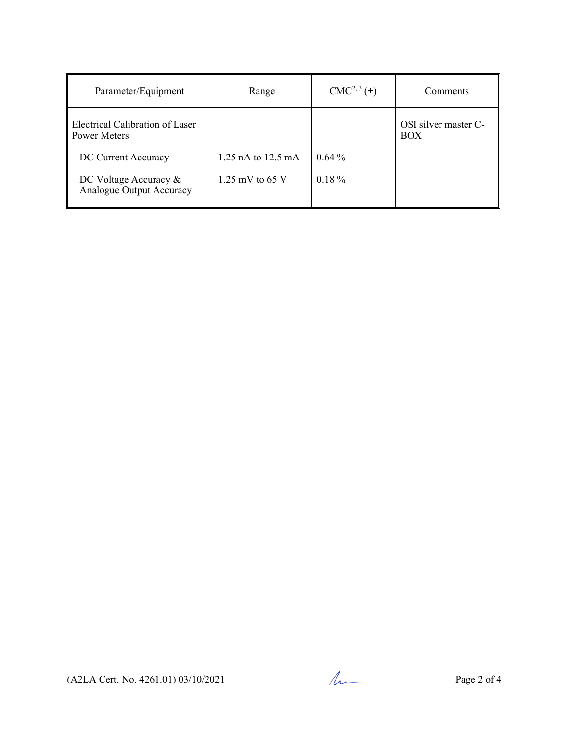| Parameter/Equipment                               | Range                | $CMC2, 3(\pm)$ | Comments                    |
|---------------------------------------------------|----------------------|----------------|-----------------------------|
| Electrical Calibration of Laser<br>Power Meters   |                      |                | OSI silver master C-<br>BOX |
| DC Current Accuracy                               | 1.25 nA to $12.5$ mA | $0.64\%$       |                             |
| DC Voltage Accuracy &<br>Analogue Output Accuracy | 1.25 mV to 65 V      | $0.18 \%$      |                             |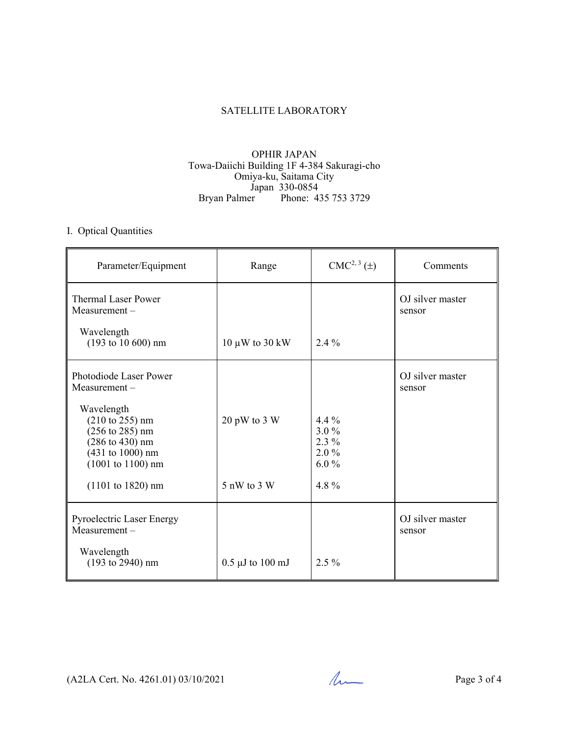## SATELLITE LABORATORY

## OPHIR JAPAN Towa-Daiichi Building 1F 4-384 Sakuragi-cho Omiya-ku, Saitama City Japan 330-0854 Bryan Palmer Phone: 435 753 3729

# I. Optical Quantities

| Parameter/Equipment                                                                                                                                                                        | Range                           | $CMC2, 3(\pm)$                                      | Comments                   |
|--------------------------------------------------------------------------------------------------------------------------------------------------------------------------------------------|---------------------------------|-----------------------------------------------------|----------------------------|
| <b>Thermal Laser Power</b><br>$Measurement -$                                                                                                                                              |                                 |                                                     | OJ silver master<br>sensor |
| Wavelength<br>$(193 \text{ to } 10 \text{ } 600) \text{ nm}$                                                                                                                               | 10 $\mu$ W to 30 kW             | $2.4\%$                                             |                            |
| Photodiode Laser Power<br>$Measurement -$                                                                                                                                                  |                                 |                                                     | OJ silver master<br>sensor |
| Wavelength<br>$(210 \text{ to } 255) \text{ nm}$<br>$(256 \text{ to } 285) \text{ nm}$<br>$(286 \text{ to } 430) \text{ nm}$<br>$(431 to 1000)$ nm<br>$(1001 \text{ to } 1100) \text{ nm}$ | 20 pW to 3 W                    | 4.4 $%$<br>$3.0\%$<br>$2.3\%$<br>$2.0\%$<br>$6.0\%$ |                            |
| $(1101 to 1820)$ nm                                                                                                                                                                        | 5 nW to 3 W                     | 4.8%                                                |                            |
| <b>Pyroelectric Laser Energy</b><br>Measurement-                                                                                                                                           |                                 |                                                     | OJ silver master<br>sensor |
| Wavelength<br>$(193 \text{ to } 2940)$ nm                                                                                                                                                  | $0.5 \mu J$ to $100 \text{ mJ}$ | $2.5\%$                                             |                            |